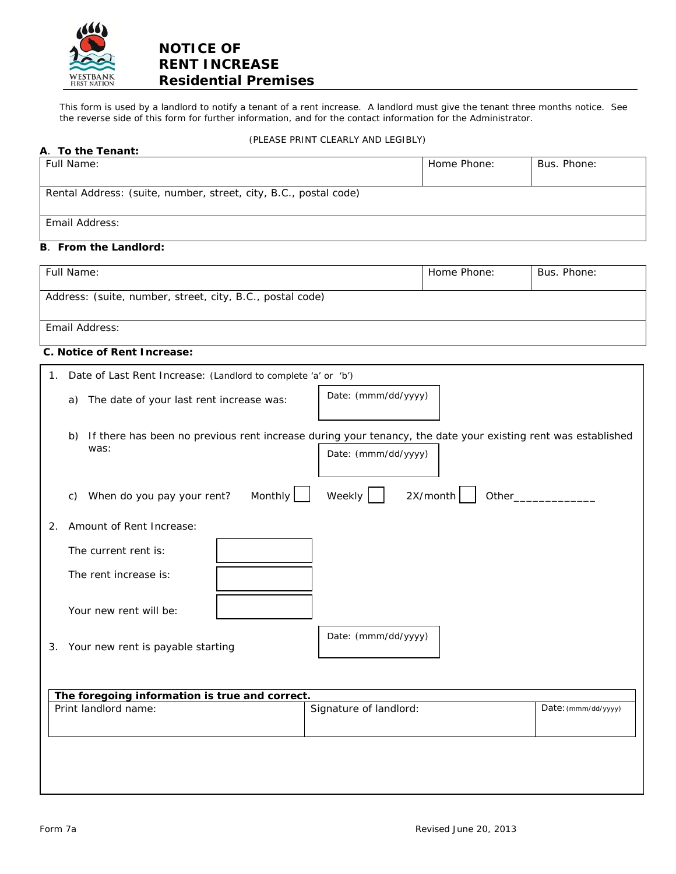

# **NOTICE OF RENT INCREASE Residential Premises**

This form is used by a landlord to notify a tenant of a rent increase. A landlord must give the tenant three months notice. See the reverse side of this form for further information, and for the contact information for the Administrator.

### (PLEASE PRINT CLEARLY AND LEGIBLY)

| A. To the Tenant:                                                                                                                                                         |                               |             |                     |
|---------------------------------------------------------------------------------------------------------------------------------------------------------------------------|-------------------------------|-------------|---------------------|
| Full Name:                                                                                                                                                                |                               | Home Phone: | Bus. Phone:         |
| Rental Address: (suite, number, street, city, B.C., postal code)                                                                                                          |                               |             |                     |
| Email Address:                                                                                                                                                            |                               |             |                     |
| <b>B.</b> From the Landlord:                                                                                                                                              |                               |             |                     |
| Full Name:                                                                                                                                                                |                               | Home Phone: | Bus. Phone:         |
| Address: (suite, number, street, city, B.C., postal code)                                                                                                                 |                               |             |                     |
| Email Address:                                                                                                                                                            |                               |             |                     |
| C. Notice of Rent Increase:                                                                                                                                               |                               |             |                     |
| Date of Last Rent Increase: (Landlord to complete 'a' or 'b')<br>1.                                                                                                       |                               |             |                     |
| The date of your last rent increase was:<br>a)                                                                                                                            | Date: (mmm/dd/yyyy)           |             |                     |
| If there has been no previous rent increase during your tenancy, the date your existing rent was established<br>b)<br>was:<br>Monthly<br>When do you pay your rent?<br>C) | Date: (mmm/dd/yyyy)<br>Weekly | 2X/month    | Other___________    |
|                                                                                                                                                                           |                               |             |                     |
| Amount of Rent Increase:<br>2.                                                                                                                                            |                               |             |                     |
| The current rent is:                                                                                                                                                      |                               |             |                     |
| The rent increase is:                                                                                                                                                     |                               |             |                     |
| Your new rent will be:                                                                                                                                                    |                               |             |                     |
| 3. Your new rent is payable starting                                                                                                                                      | Date: (mmm/dd/yyyy)           |             |                     |
|                                                                                                                                                                           |                               |             |                     |
| The foregoing information is true and correct.<br>Print landlord name:                                                                                                    | Signature of landlord:        |             | Date: (mmm/dd/yyyy) |
|                                                                                                                                                                           |                               |             |                     |

**D. Signature:** (Landlord)